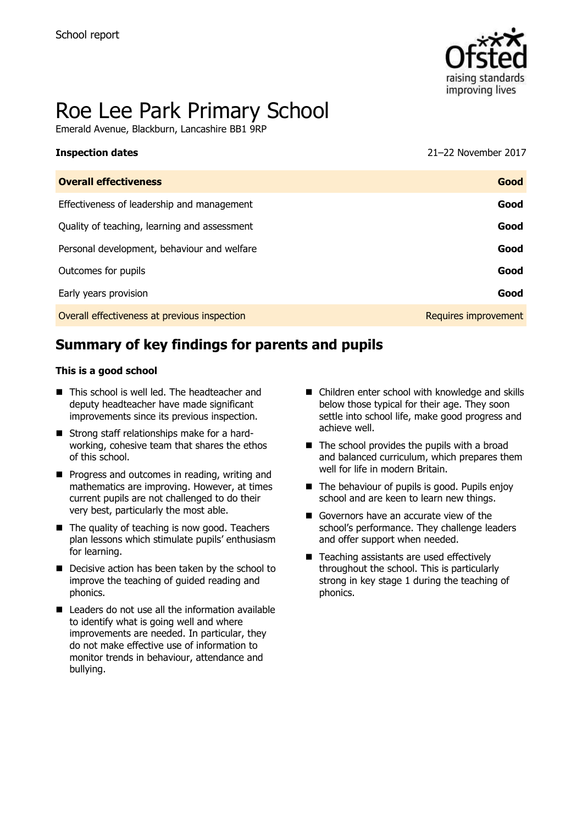

# Roe Lee Park Primary School

Emerald Avenue, Blackburn, Lancashire BB1 9RP

| TIDDCCAOII AALCO                             | 21 22 INVICTING 2017 |
|----------------------------------------------|----------------------|
| <b>Overall effectiveness</b>                 | Good                 |
| Effectiveness of leadership and management   | Good                 |
| Quality of teaching, learning and assessment | Good                 |
| Personal development, behaviour and welfare  | Good                 |
| Outcomes for pupils                          | Good                 |
| Early years provision                        | Good                 |
| Overall effectiveness at previous inspection | Requires improvement |

# **Summary of key findings for parents and pupils**

#### **This is a good school**

- This school is well led. The headteacher and deputy headteacher have made significant improvements since its previous inspection.
- Strong staff relationships make for a hardworking, cohesive team that shares the ethos of this school.
- **Progress and outcomes in reading, writing and** mathematics are improving. However, at times current pupils are not challenged to do their very best, particularly the most able.
- The quality of teaching is now good. Teachers plan lessons which stimulate pupils' enthusiasm for learning.
- Decisive action has been taken by the school to improve the teaching of guided reading and phonics.
- Leaders do not use all the information available to identify what is going well and where improvements are needed. In particular, they do not make effective use of information to monitor trends in behaviour, attendance and bullying.
- Children enter school with knowledge and skills below those typical for their age. They soon settle into school life, make good progress and achieve well.
- $\blacksquare$  The school provides the pupils with a broad and balanced curriculum, which prepares them well for life in modern Britain.
- The behaviour of pupils is good. Pupils enjoy school and are keen to learn new things.
- Governors have an accurate view of the school's performance. They challenge leaders and offer support when needed.
- Teaching assistants are used effectively throughout the school. This is particularly strong in key stage 1 during the teaching of phonics.

**Inspection dates** 21–22 November 2017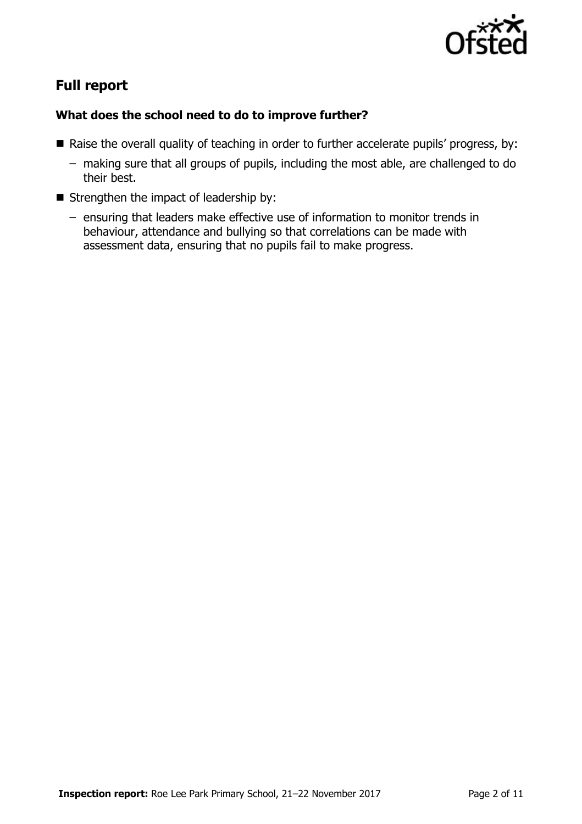

# **Full report**

### **What does the school need to do to improve further?**

- Raise the overall quality of teaching in order to further accelerate pupils' progress, by:
	- making sure that all groups of pupils, including the most able, are challenged to do their best.
- $\blacksquare$  Strengthen the impact of leadership by:
	- ensuring that leaders make effective use of information to monitor trends in behaviour, attendance and bullying so that correlations can be made with assessment data, ensuring that no pupils fail to make progress.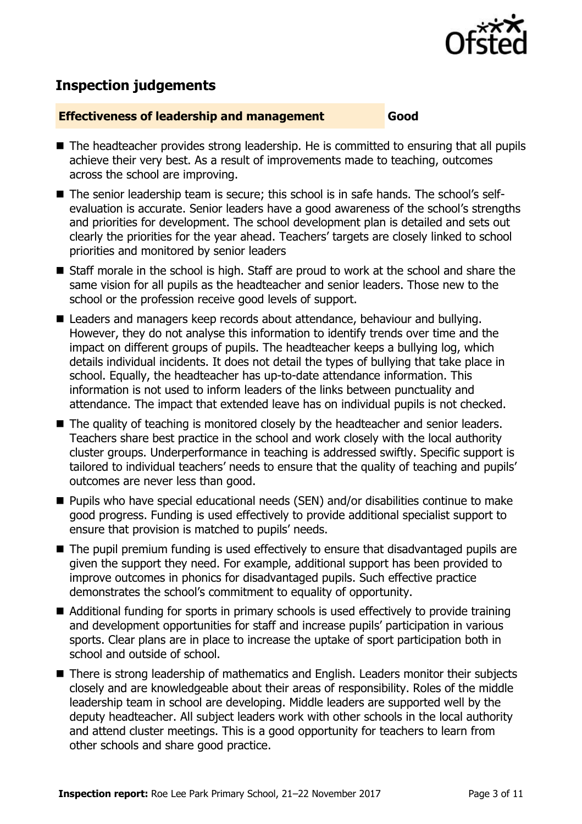

# **Inspection judgements**

#### **Effectiveness of leadership and management Good**

- The headteacher provides strong leadership. He is committed to ensuring that all pupils achieve their very best. As a result of improvements made to teaching, outcomes across the school are improving.
- The senior leadership team is secure; this school is in safe hands. The school's selfevaluation is accurate. Senior leaders have a good awareness of the school's strengths and priorities for development. The school development plan is detailed and sets out clearly the priorities for the year ahead. Teachers' targets are closely linked to school priorities and monitored by senior leaders
- Staff morale in the school is high. Staff are proud to work at the school and share the same vision for all pupils as the headteacher and senior leaders. Those new to the school or the profession receive good levels of support.
- Leaders and managers keep records about attendance, behaviour and bullying. However, they do not analyse this information to identify trends over time and the impact on different groups of pupils. The headteacher keeps a bullying log, which details individual incidents. It does not detail the types of bullying that take place in school. Equally, the headteacher has up-to-date attendance information. This information is not used to inform leaders of the links between punctuality and attendance. The impact that extended leave has on individual pupils is not checked.
- The quality of teaching is monitored closely by the headteacher and senior leaders. Teachers share best practice in the school and work closely with the local authority cluster groups. Underperformance in teaching is addressed swiftly. Specific support is tailored to individual teachers' needs to ensure that the quality of teaching and pupils' outcomes are never less than good.
- Pupils who have special educational needs (SEN) and/or disabilities continue to make good progress. Funding is used effectively to provide additional specialist support to ensure that provision is matched to pupils' needs.
- The pupil premium funding is used effectively to ensure that disadvantaged pupils are given the support they need. For example, additional support has been provided to improve outcomes in phonics for disadvantaged pupils. Such effective practice demonstrates the school's commitment to equality of opportunity.
- Additional funding for sports in primary schools is used effectively to provide training and development opportunities for staff and increase pupils' participation in various sports. Clear plans are in place to increase the uptake of sport participation both in school and outside of school.
- There is strong leadership of mathematics and English. Leaders monitor their subjects closely and are knowledgeable about their areas of responsibility. Roles of the middle leadership team in school are developing. Middle leaders are supported well by the deputy headteacher. All subject leaders work with other schools in the local authority and attend cluster meetings. This is a good opportunity for teachers to learn from other schools and share good practice.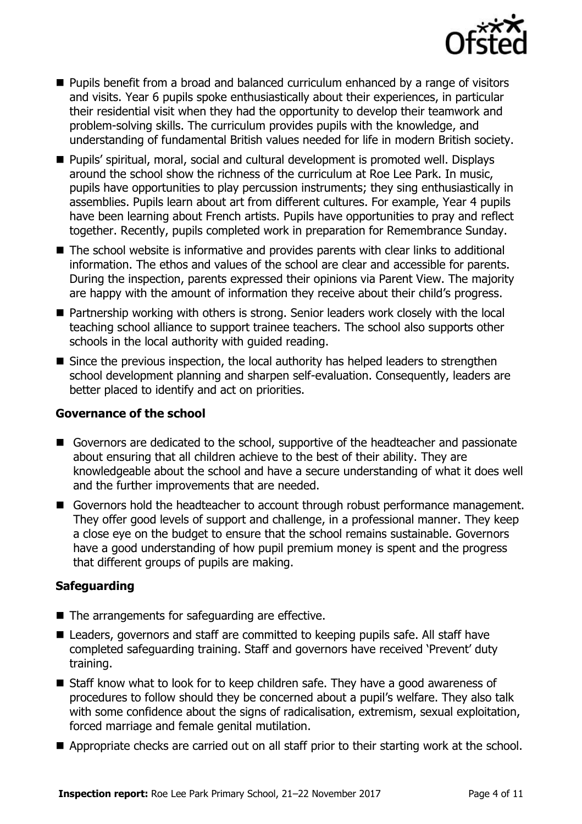

- **Pupils benefit from a broad and balanced curriculum enhanced by a range of visitors** and visits. Year 6 pupils spoke enthusiastically about their experiences, in particular their residential visit when they had the opportunity to develop their teamwork and problem-solving skills. The curriculum provides pupils with the knowledge, and understanding of fundamental British values needed for life in modern British society.
- Pupils' spiritual, moral, social and cultural development is promoted well. Displays around the school show the richness of the curriculum at Roe Lee Park. In music, pupils have opportunities to play percussion instruments; they sing enthusiastically in assemblies. Pupils learn about art from different cultures. For example, Year 4 pupils have been learning about French artists. Pupils have opportunities to pray and reflect together. Recently, pupils completed work in preparation for Remembrance Sunday.
- The school website is informative and provides parents with clear links to additional information. The ethos and values of the school are clear and accessible for parents. During the inspection, parents expressed their opinions via Parent View. The majority are happy with the amount of information they receive about their child's progress.
- Partnership working with others is strong. Senior leaders work closely with the local teaching school alliance to support trainee teachers. The school also supports other schools in the local authority with guided reading.
- Since the previous inspection, the local authority has helped leaders to strengthen school development planning and sharpen self-evaluation. Consequently, leaders are better placed to identify and act on priorities.

#### . **Governance of the school**

- Governors are dedicated to the school, supportive of the headteacher and passionate about ensuring that all children achieve to the best of their ability. They are knowledgeable about the school and have a secure understanding of what it does well and the further improvements that are needed.
- Governors hold the headteacher to account through robust performance management. They offer good levels of support and challenge, in a professional manner. They keep a close eye on the budget to ensure that the school remains sustainable. Governors have a good understanding of how pupil premium money is spent and the progress that different groups of pupils are making.

### **Safeguarding**

- $\blacksquare$  The arrangements for safeguarding are effective.
- Leaders, governors and staff are committed to keeping pupils safe. All staff have completed safeguarding training. Staff and governors have received 'Prevent' duty training.
- Staff know what to look for to keep children safe. They have a good awareness of procedures to follow should they be concerned about a pupil's welfare. They also talk with some confidence about the signs of radicalisation, extremism, sexual exploitation, forced marriage and female genital mutilation.
- Appropriate checks are carried out on all staff prior to their starting work at the school.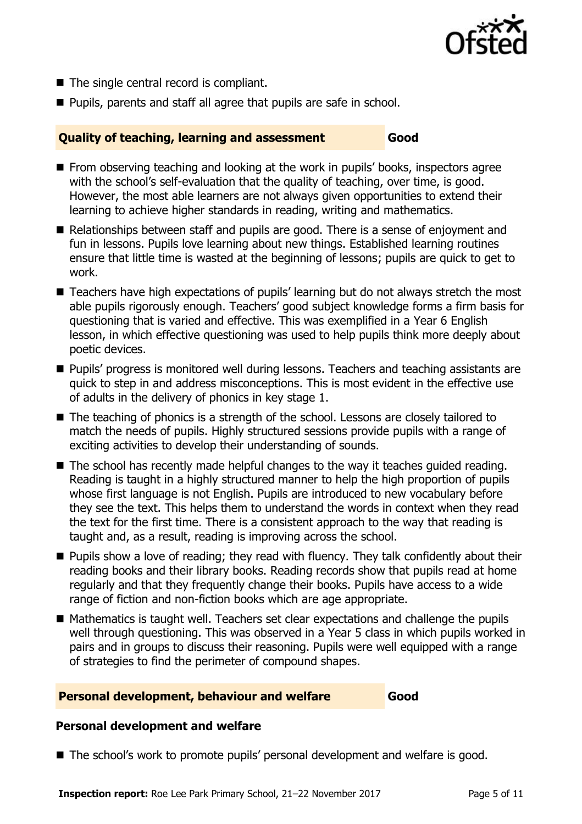

- The single central record is compliant.
- **Pupils, parents and staff all agree that pupils are safe in school.**

#### **Quality of teaching, learning and assessment Good**

- **From observing teaching and looking at the work in pupils' books, inspectors agree** with the school's self-evaluation that the quality of teaching, over time, is good. However, the most able learners are not always given opportunities to extend their learning to achieve higher standards in reading, writing and mathematics.
- Relationships between staff and pupils are good. There is a sense of enjoyment and fun in lessons. Pupils love learning about new things. Established learning routines ensure that little time is wasted at the beginning of lessons; pupils are quick to get to work.
- Teachers have high expectations of pupils' learning but do not always stretch the most able pupils rigorously enough. Teachers' good subject knowledge forms a firm basis for questioning that is varied and effective. This was exemplified in a Year 6 English lesson, in which effective questioning was used to help pupils think more deeply about poetic devices.
- **Pupils' progress is monitored well during lessons. Teachers and teaching assistants are** quick to step in and address misconceptions. This is most evident in the effective use of adults in the delivery of phonics in key stage 1.
- The teaching of phonics is a strength of the school. Lessons are closely tailored to match the needs of pupils. Highly structured sessions provide pupils with a range of exciting activities to develop their understanding of sounds.
- The school has recently made helpful changes to the way it teaches guided reading. Reading is taught in a highly structured manner to help the high proportion of pupils whose first language is not English. Pupils are introduced to new vocabulary before they see the text. This helps them to understand the words in context when they read the text for the first time. There is a consistent approach to the way that reading is taught and, as a result, reading is improving across the school.
- **Pupils show a love of reading; they read with fluency. They talk confidently about their** reading books and their library books. Reading records show that pupils read at home regularly and that they frequently change their books. Pupils have access to a wide range of fiction and non-fiction books which are age appropriate.
- Mathematics is taught well. Teachers set clear expectations and challenge the pupils well through questioning. This was observed in a Year 5 class in which pupils worked in pairs and in groups to discuss their reasoning. Pupils were well equipped with a range of strategies to find the perimeter of compound shapes.

#### **Personal development, behaviour and welfare Good**

#### **Personal development and welfare**

■ The school's work to promote pupils' personal development and welfare is good.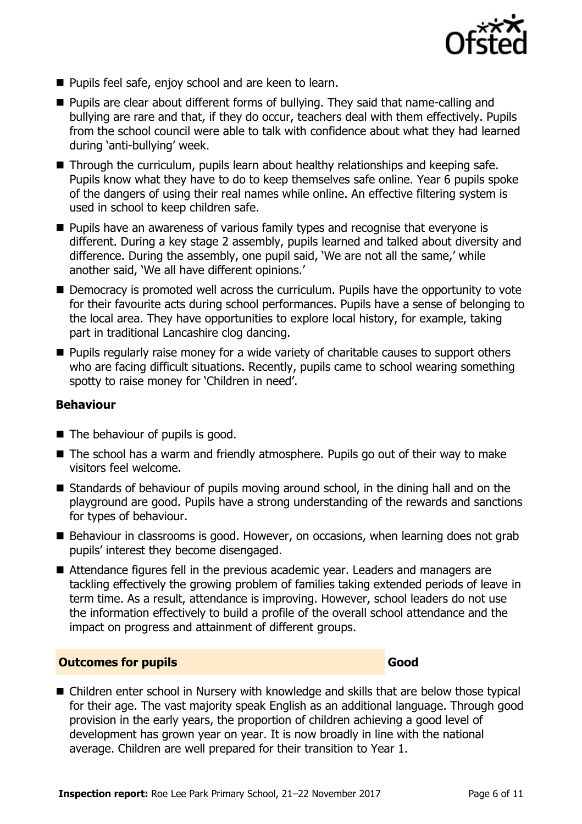

- Pupils feel safe, enjoy school and are keen to learn.
- Pupils are clear about different forms of bullying. They said that name-calling and bullying are rare and that, if they do occur, teachers deal with them effectively. Pupils from the school council were able to talk with confidence about what they had learned during 'anti-bullying' week.
- Through the curriculum, pupils learn about healthy relationships and keeping safe. Pupils know what they have to do to keep themselves safe online. Year 6 pupils spoke of the dangers of using their real names while online. An effective filtering system is used in school to keep children safe.
- **Pupils have an awareness of various family types and recognise that everyone is** different. During a key stage 2 assembly, pupils learned and talked about diversity and difference. During the assembly, one pupil said, 'We are not all the same,' while another said, 'We all have different opinions.'
- Democracy is promoted well across the curriculum. Pupils have the opportunity to vote for their favourite acts during school performances. Pupils have a sense of belonging to the local area. They have opportunities to explore local history, for example, taking part in traditional Lancashire clog dancing.
- **Pupils regularly raise money for a wide variety of charitable causes to support others** who are facing difficult situations. Recently, pupils came to school wearing something spotty to raise money for 'Children in need'.

#### **Behaviour**

- The behaviour of pupils is good.
- The school has a warm and friendly atmosphere. Pupils go out of their way to make visitors feel welcome.
- Standards of behaviour of pupils moving around school, in the dining hall and on the playground are good. Pupils have a strong understanding of the rewards and sanctions for types of behaviour.
- Behaviour in classrooms is good. However, on occasions, when learning does not grab pupils' interest they become disengaged.
- Attendance figures fell in the previous academic year. Leaders and managers are tackling effectively the growing problem of families taking extended periods of leave in term time. As a result, attendance is improving. However, school leaders do not use the information effectively to build a profile of the overall school attendance and the impact on progress and attainment of different groups.

#### **Outcomes for pupils Good**

■ Children enter school in Nursery with knowledge and skills that are below those typical for their age. The vast majority speak English as an additional language. Through good provision in the early years, the proportion of children achieving a good level of development has grown year on year. It is now broadly in line with the national average. Children are well prepared for their transition to Year 1.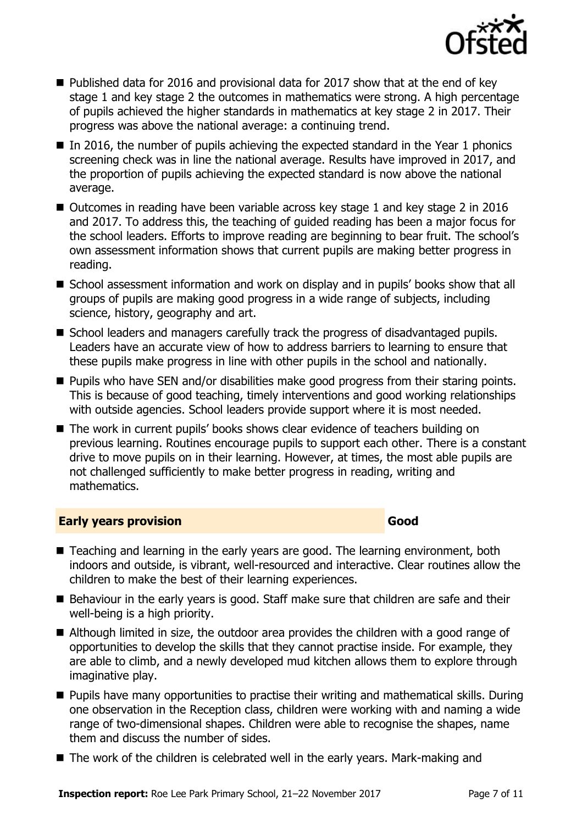

- $\blacksquare$  Published data for 2016 and provisional data for 2017 show that at the end of key stage 1 and key stage 2 the outcomes in mathematics were strong. A high percentage of pupils achieved the higher standards in mathematics at key stage 2 in 2017. Their progress was above the national average: a continuing trend.
- In 2016, the number of pupils achieving the expected standard in the Year 1 phonics screening check was in line the national average. Results have improved in 2017, and the proportion of pupils achieving the expected standard is now above the national average.
- Outcomes in reading have been variable across key stage 1 and key stage 2 in 2016 and 2017. To address this, the teaching of guided reading has been a major focus for the school leaders. Efforts to improve reading are beginning to bear fruit. The school's own assessment information shows that current pupils are making better progress in reading.
- School assessment information and work on display and in pupils' books show that all groups of pupils are making good progress in a wide range of subjects, including science, history, geography and art.
- School leaders and managers carefully track the progress of disadvantaged pupils. Leaders have an accurate view of how to address barriers to learning to ensure that these pupils make progress in line with other pupils in the school and nationally.
- Pupils who have SEN and/or disabilities make good progress from their staring points. This is because of good teaching, timely interventions and good working relationships with outside agencies. School leaders provide support where it is most needed.
- The work in current pupils' books shows clear evidence of teachers building on previous learning. Routines encourage pupils to support each other. There is a constant drive to move pupils on in their learning. However, at times, the most able pupils are not challenged sufficiently to make better progress in reading, writing and mathematics.

#### **Early years provision Good Good**

- Teaching and learning in the early years are good. The learning environment, both indoors and outside, is vibrant, well-resourced and interactive. Clear routines allow the children to make the best of their learning experiences.
- Behaviour in the early years is good. Staff make sure that children are safe and their well-being is a high priority.
- Although limited in size, the outdoor area provides the children with a good range of opportunities to develop the skills that they cannot practise inside. For example, they are able to climb, and a newly developed mud kitchen allows them to explore through imaginative play.
- **Pupils have many opportunities to practise their writing and mathematical skills. During** one observation in the Reception class, children were working with and naming a wide range of two-dimensional shapes. Children were able to recognise the shapes, name them and discuss the number of sides.
- The work of the children is celebrated well in the early years. Mark-making and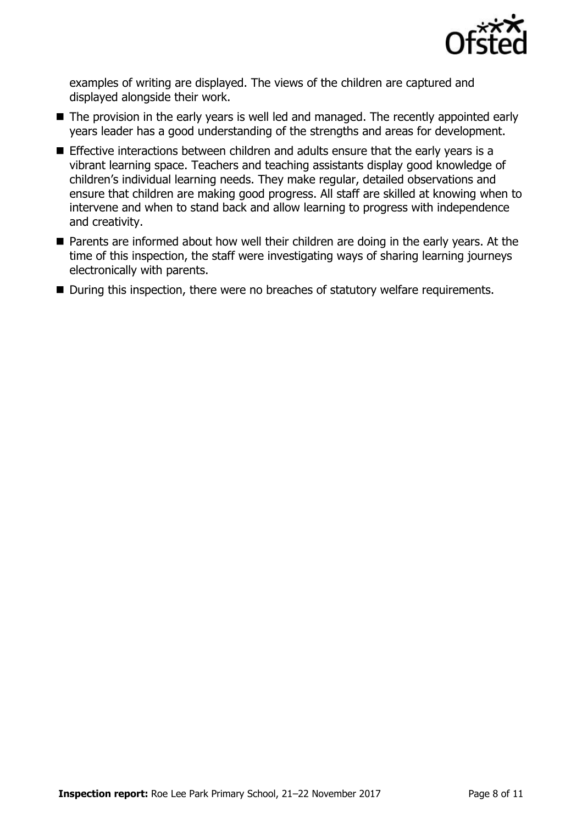

examples of writing are displayed. The views of the children are captured and displayed alongside their work.

- The provision in the early years is well led and managed. The recently appointed early years leader has a good understanding of the strengths and areas for development.
- Effective interactions between children and adults ensure that the early years is a vibrant learning space. Teachers and teaching assistants display good knowledge of children's individual learning needs. They make regular, detailed observations and ensure that children are making good progress. All staff are skilled at knowing when to intervene and when to stand back and allow learning to progress with independence and creativity.
- **Parents are informed about how well their children are doing in the early years. At the** time of this inspection, the staff were investigating ways of sharing learning journeys electronically with parents.
- During this inspection, there were no breaches of statutory welfare requirements.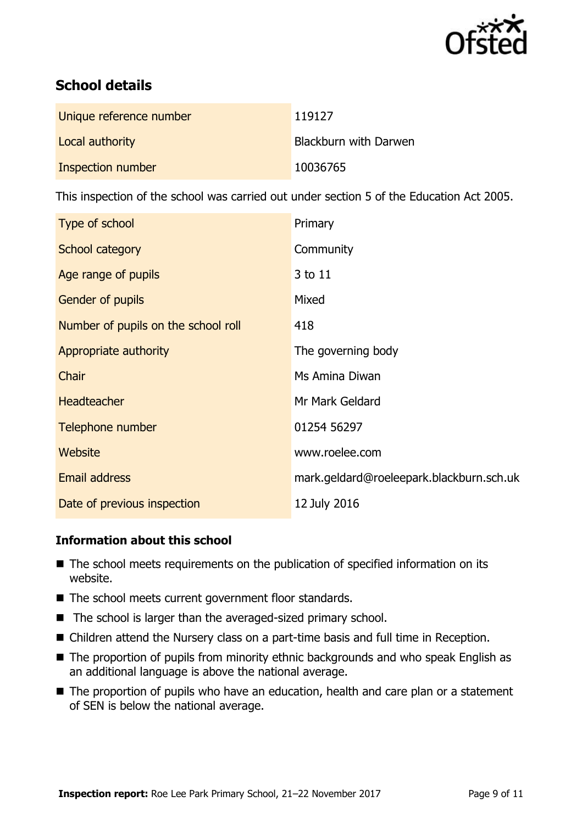

# **School details**

| Unique reference number | 119127                |
|-------------------------|-----------------------|
| Local authority         | Blackburn with Darwen |
| Inspection number       | 10036765              |

This inspection of the school was carried out under section 5 of the Education Act 2005.

| Type of school                      | Primary                                  |
|-------------------------------------|------------------------------------------|
| School category                     | Community                                |
| Age range of pupils                 | 3 to 11                                  |
| Gender of pupils                    | Mixed                                    |
| Number of pupils on the school roll | 418                                      |
| Appropriate authority               | The governing body                       |
| Chair                               | Ms Amina Diwan                           |
| <b>Headteacher</b>                  | Mr Mark Geldard                          |
| Telephone number                    | 01254 56297                              |
| Website                             | www.roelee.com                           |
| Email address                       | mark.geldard@roeleepark.blackburn.sch.uk |
| Date of previous inspection         | 12 July 2016                             |

#### **Information about this school**

- The school meets requirements on the publication of specified information on its website.
- The school meets current government floor standards.
- $\blacksquare$  The school is larger than the averaged-sized primary school.
- Children attend the Nursery class on a part-time basis and full time in Reception.
- The proportion of pupils from minority ethnic backgrounds and who speak English as an additional language is above the national average.
- The proportion of pupils who have an education, health and care plan or a statement of SEN is below the national average.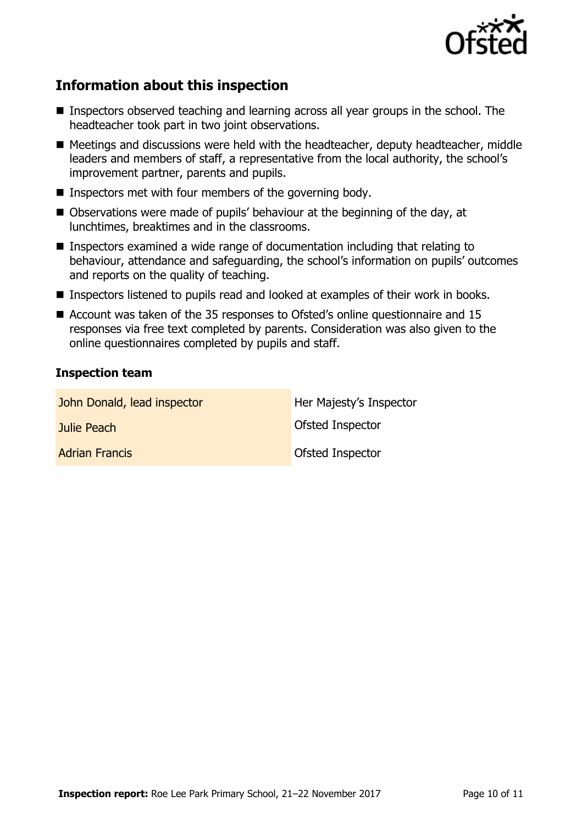

# **Information about this inspection**

- Inspectors observed teaching and learning across all year groups in the school. The headteacher took part in two joint observations.
- Meetings and discussions were held with the headteacher, deputy headteacher, middle leaders and members of staff, a representative from the local authority, the school's improvement partner, parents and pupils.
- Inspectors met with four members of the governing body.
- Observations were made of pupils' behaviour at the beginning of the day, at lunchtimes, breaktimes and in the classrooms.
- Inspectors examined a wide range of documentation including that relating to behaviour, attendance and safeguarding, the school's information on pupils' outcomes and reports on the quality of teaching.
- Inspectors listened to pupils read and looked at examples of their work in books.
- Account was taken of the 35 responses to Ofsted's online questionnaire and 15 responses via free text completed by parents. Consideration was also given to the online questionnaires completed by pupils and staff.

#### **Inspection team**

| John Donald, lead inspector | Her Majesty's Inspector |
|-----------------------------|-------------------------|
| Julie Peach                 | <b>Ofsted Inspector</b> |
| <b>Adrian Francis</b>       | <b>Ofsted Inspector</b> |